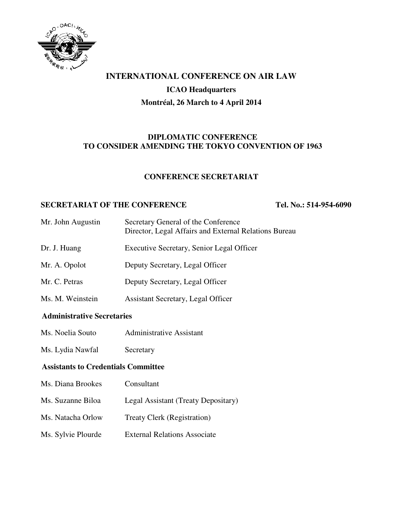

# **INTERNATIONAL CONFERENCE ON AIR LAW**

#### **ICAO Headquarters**

### **Montréal, 26 March to 4 April 2014**

### **DIPLOMATIC CONFERENCE TO CONSIDER AMENDING THE TOKYO CONVENTION OF 1963**

#### **CONFERENCE SECRETARIAT**

#### **SECRETARIAT OF THE CONFERENCE TEL. No.: 514-954-6090**

| Mr. John Augustin | Secretary General of the Conference<br>Director, Legal Affairs and External Relations Bureau |
|-------------------|----------------------------------------------------------------------------------------------|
| Dr. J. Huang      | Executive Secretary, Senior Legal Officer                                                    |
| Mr. A. Opolot     | Deputy Secretary, Legal Officer                                                              |
| Mr. C. Petras     | Deputy Secretary, Legal Officer                                                              |
| Ms. M. Weinstein  | Assistant Secretary, Legal Officer                                                           |

# **Administrative Secretaries**

- Ms. Noelia Souto Administrative Assistant
- Ms. Lydia Nawfal Secretary

### **Assistants to Credentials Committee**

- Ms. Diana Brookes Consultant Ms. Suzanne Biloa Legal Assistant (Treaty Depositary) Ms. Natacha Orlow Treaty Clerk (Registration)
- Ms. Sylvie Plourde External Relations Associate